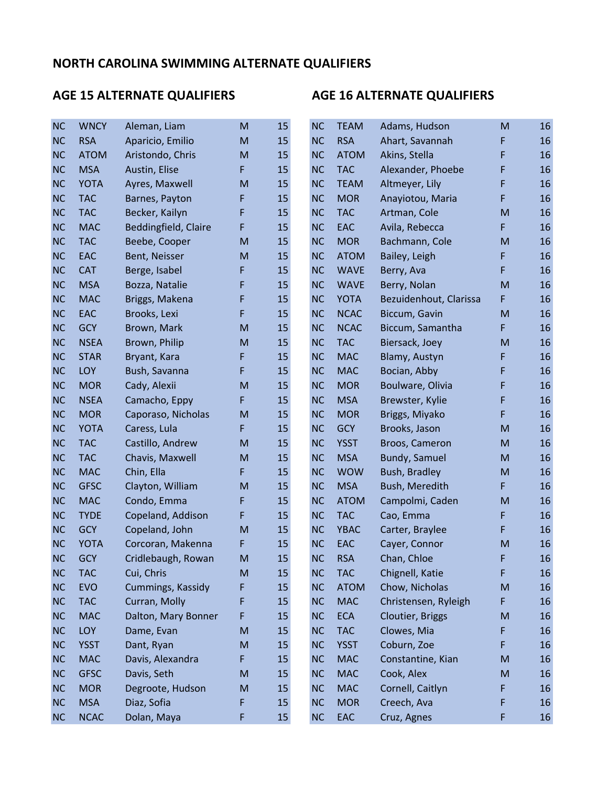| <b>NC</b> | <b>WNCY</b> | Aleman, Liam         | M  | 15 | <b>NC</b> | <b>TEAM</b> | Adams, Hudson          | M                                                                                                          | 16 |
|-----------|-------------|----------------------|----|----|-----------|-------------|------------------------|------------------------------------------------------------------------------------------------------------|----|
| <b>NC</b> | <b>RSA</b>  | Aparicio, Emilio     | M  | 15 | <b>NC</b> | <b>RSA</b>  | Ahart, Savannah        | F                                                                                                          | 16 |
| <b>NC</b> | <b>ATOM</b> | Aristondo, Chris     | M  | 15 | <b>NC</b> | <b>ATOM</b> | Akins, Stella          | F                                                                                                          | 16 |
| <b>NC</b> | <b>MSA</b>  | Austin, Elise        | F. | 15 | <b>NC</b> | <b>TAC</b>  | Alexander, Phoebe      | F                                                                                                          | 16 |
| <b>NC</b> | <b>YOTA</b> | Ayres, Maxwell       | M  | 15 | <b>NC</b> | <b>TEAM</b> | Altmeyer, Lily         | F                                                                                                          | 16 |
| <b>NC</b> | <b>TAC</b>  | Barnes, Payton       | F  | 15 | <b>NC</b> | <b>MOR</b>  | Anayiotou, Maria       | F                                                                                                          | 16 |
| <b>NC</b> | <b>TAC</b>  | Becker, Kailyn       | F  | 15 | <b>NC</b> | <b>TAC</b>  | Artman, Cole           | M                                                                                                          | 16 |
| <b>NC</b> | <b>MAC</b>  | Beddingfield, Claire | F  | 15 | <b>NC</b> | EAC         | Avila, Rebecca         | F                                                                                                          | 16 |
| <b>NC</b> | <b>TAC</b>  | Beebe, Cooper        | M  | 15 | <b>NC</b> | <b>MOR</b>  | Bachmann, Cole         | ${\sf M}$                                                                                                  | 16 |
| <b>NC</b> | EAC         | Bent, Neisser        | M  | 15 | <b>NC</b> | <b>ATOM</b> | Bailey, Leigh          | F                                                                                                          | 16 |
| <b>NC</b> | <b>CAT</b>  | Berge, Isabel        | F  | 15 | <b>NC</b> | <b>WAVE</b> | Berry, Ava             | F                                                                                                          | 16 |
| <b>NC</b> | <b>MSA</b>  | Bozza, Natalie       | F  | 15 | <b>NC</b> | <b>WAVE</b> | Berry, Nolan           | M                                                                                                          | 16 |
| <b>NC</b> | <b>MAC</b>  | Briggs, Makena       | F  | 15 | <b>NC</b> | <b>YOTA</b> | Bezuidenhout, Clarissa | F                                                                                                          | 16 |
| <b>NC</b> | EAC         | Brooks, Lexi         | F  | 15 | <b>NC</b> | <b>NCAC</b> | Biccum, Gavin          | ${\sf M}$                                                                                                  | 16 |
| <b>NC</b> | <b>GCY</b>  | Brown, Mark          | M  | 15 | <b>NC</b> | <b>NCAC</b> | Biccum, Samantha       | F                                                                                                          | 16 |
| <b>NC</b> | <b>NSEA</b> | Brown, Philip        | M  | 15 | <b>NC</b> | <b>TAC</b>  | Biersack, Joey         | ${\sf M}$                                                                                                  | 16 |
| <b>NC</b> | <b>STAR</b> | Bryant, Kara         | F  | 15 | <b>NC</b> | <b>MAC</b>  | Blamy, Austyn          | F                                                                                                          | 16 |
| <b>NC</b> | LOY         | Bush, Savanna        | F  | 15 | <b>NC</b> | <b>MAC</b>  | Bocian, Abby           | F                                                                                                          | 16 |
| <b>NC</b> | <b>MOR</b>  | Cady, Alexii         | M  | 15 | <b>NC</b> | <b>MOR</b>  | Boulware, Olivia       | F                                                                                                          | 16 |
| <b>NC</b> | <b>NSEA</b> | Camacho, Eppy        | F  | 15 | <b>NC</b> | <b>MSA</b>  | Brewster, Kylie        | F                                                                                                          | 16 |
| <b>NC</b> | <b>MOR</b>  | Caporaso, Nicholas   | M  | 15 | <b>NC</b> | <b>MOR</b>  | Briggs, Miyako         | F                                                                                                          | 16 |
| <b>NC</b> | <b>YOTA</b> | Caress, Lula         | F  | 15 | <b>NC</b> | <b>GCY</b>  | Brooks, Jason          | ${\sf M}$                                                                                                  | 16 |
| <b>NC</b> | <b>TAC</b>  | Castillo, Andrew     | M  | 15 | <b>NC</b> | <b>YSST</b> | Broos, Cameron         | ${\sf M}$                                                                                                  | 16 |
| <b>NC</b> | <b>TAC</b>  | Chavis, Maxwell      | M  | 15 | <b>NC</b> | <b>MSA</b>  | <b>Bundy, Samuel</b>   | ${\sf M}$                                                                                                  | 16 |
| <b>NC</b> | <b>MAC</b>  | Chin, Ella           | F  | 15 | <b>NC</b> | <b>WOW</b>  | Bush, Bradley          | ${\sf M}$                                                                                                  | 16 |
| <b>NC</b> | <b>GFSC</b> | Clayton, William     | M  | 15 | <b>NC</b> | <b>MSA</b>  | Bush, Meredith         | F                                                                                                          | 16 |
| <b>NC</b> | <b>MAC</b>  | Condo, Emma          | F  | 15 | <b>NC</b> | <b>ATOM</b> | Campolmi, Caden        | ${\sf M}$                                                                                                  | 16 |
| <b>NC</b> | <b>TYDE</b> | Copeland, Addison    | F, | 15 | <b>NC</b> | <b>TAC</b>  | Cao, Emma              | F                                                                                                          | 16 |
| <b>NC</b> | <b>GCY</b>  | Copeland, John       | M  | 15 | <b>NC</b> | <b>YBAC</b> | Carter, Braylee        | F                                                                                                          | 16 |
| <b>NC</b> | <b>YOTA</b> | Corcoran, Makenna    | F, | 15 | <b>NC</b> | EAC         | Cayer, Connor          | ${\sf M}$                                                                                                  | 16 |
| <b>NC</b> | <b>GCY</b>  | Cridlebaugh, Rowan   | M  | 15 | <b>NC</b> | <b>RSA</b>  | Chan, Chloe            | F                                                                                                          | 16 |
| <b>NC</b> | <b>TAC</b>  | Cui, Chris           | M  | 15 | <b>NC</b> | <b>TAC</b>  | Chignell, Katie        | F                                                                                                          | 16 |
| <b>NC</b> | <b>EVO</b>  | Cummings, Kassidy    | F  | 15 | <b>NC</b> | <b>ATOM</b> | Chow, Nicholas         | $\mathsf{M}% _{T}=\mathsf{M}_{T}\!\left( a,b\right) ,\ \mathsf{M}_{T}=\mathsf{M}_{T}\!\left( a,b\right) ,$ | 16 |
| <b>NC</b> | <b>TAC</b>  | Curran, Molly        | F  | 15 | <b>NC</b> | <b>MAC</b>  | Christensen, Ryleigh   | F                                                                                                          | 16 |
| <b>NC</b> | <b>MAC</b>  | Dalton, Mary Bonner  | F  | 15 | <b>NC</b> | <b>ECA</b>  | Cloutier, Briggs       | ${\sf M}$                                                                                                  | 16 |
| <b>NC</b> | LOY         | Dame, Evan           | M  | 15 | <b>NC</b> | <b>TAC</b>  | Clowes, Mia            | F                                                                                                          | 16 |
| <b>NC</b> | <b>YSST</b> | Dant, Ryan           | M  | 15 | <b>NC</b> | <b>YSST</b> | Coburn, Zoe            | F                                                                                                          | 16 |
| <b>NC</b> | <b>MAC</b>  | Davis, Alexandra     | F. | 15 | <b>NC</b> | <b>MAC</b>  | Constantine, Kian      | ${\sf M}$                                                                                                  | 16 |
| <b>NC</b> | <b>GFSC</b> | Davis, Seth          | M  | 15 | <b>NC</b> | <b>MAC</b>  | Cook, Alex             | ${\sf M}$                                                                                                  | 16 |
| <b>NC</b> | <b>MOR</b>  | Degroote, Hudson     | M  | 15 | <b>NC</b> | <b>MAC</b>  | Cornell, Caitlyn       | F                                                                                                          | 16 |
| <b>NC</b> | <b>MSA</b>  | Diaz, Sofia          | F  | 15 | <b>NC</b> | <b>MOR</b>  | Creech, Ava            | F                                                                                                          | 16 |
| <b>NC</b> | <b>NCAC</b> | Dolan, Maya          | F  | 15 | NC        | EAC         | Cruz, Agnes            | F                                                                                                          | 16 |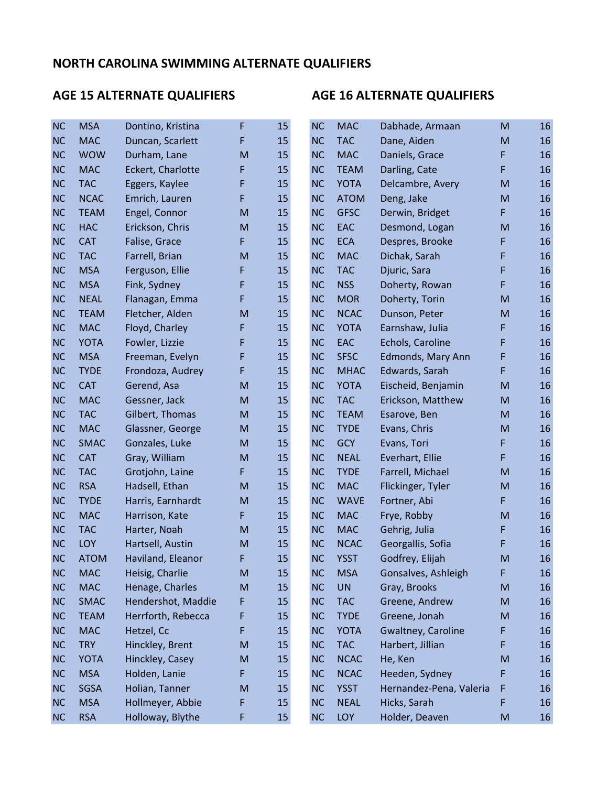| <b>NC</b> | <b>MSA</b>  | Dontino, Kristina  | F  | 15 | <b>NC</b> | <b>MAC</b>  | Dabhade, Armaan         | M                                                                                                          | 16 |
|-----------|-------------|--------------------|----|----|-----------|-------------|-------------------------|------------------------------------------------------------------------------------------------------------|----|
| <b>NC</b> | <b>MAC</b>  | Duncan, Scarlett   | F  | 15 | <b>NC</b> | <b>TAC</b>  | Dane, Aiden             | ${\sf M}$                                                                                                  | 16 |
| <b>NC</b> | <b>WOW</b>  | Durham, Lane       | M  | 15 | <b>NC</b> | <b>MAC</b>  | Daniels, Grace          | F                                                                                                          | 16 |
| <b>NC</b> | <b>MAC</b>  | Eckert, Charlotte  | F  | 15 | <b>NC</b> | <b>TEAM</b> | Darling, Cate           | F                                                                                                          | 16 |
| <b>NC</b> | <b>TAC</b>  | Eggers, Kaylee     | F  | 15 | <b>NC</b> | <b>YOTA</b> | Delcambre, Avery        | ${\sf M}$                                                                                                  | 16 |
| <b>NC</b> | <b>NCAC</b> | Emrich, Lauren     | F  | 15 | <b>NC</b> | <b>ATOM</b> | Deng, Jake              | ${\sf M}$                                                                                                  | 16 |
| <b>NC</b> | <b>TEAM</b> | Engel, Connor      | M  | 15 | <b>NC</b> | <b>GFSC</b> | Derwin, Bridget         | F                                                                                                          | 16 |
| <b>NC</b> | <b>HAC</b>  | Erickson, Chris    | M  | 15 | <b>NC</b> | EAC         | Desmond, Logan          | M                                                                                                          | 16 |
| <b>NC</b> | <b>CAT</b>  | Falise, Grace      | F. | 15 | <b>NC</b> | <b>ECA</b>  | Despres, Brooke         | F                                                                                                          | 16 |
| <b>NC</b> | <b>TAC</b>  | Farrell, Brian     | M  | 15 | <b>NC</b> | <b>MAC</b>  | Dichak, Sarah           | F                                                                                                          | 16 |
| <b>NC</b> | <b>MSA</b>  | Ferguson, Ellie    | F  | 15 | <b>NC</b> | <b>TAC</b>  | Djuric, Sara            | F                                                                                                          | 16 |
| <b>NC</b> | <b>MSA</b>  | Fink, Sydney       | F  | 15 | <b>NC</b> | <b>NSS</b>  | Doherty, Rowan          | F                                                                                                          | 16 |
| <b>NC</b> | <b>NEAL</b> | Flanagan, Emma     | F  | 15 | <b>NC</b> | <b>MOR</b>  | Doherty, Torin          | ${\sf M}$                                                                                                  | 16 |
| <b>NC</b> | <b>TEAM</b> | Fletcher, Alden    | M  | 15 | <b>NC</b> | <b>NCAC</b> | Dunson, Peter           | ${\sf M}$                                                                                                  | 16 |
| <b>NC</b> | <b>MAC</b>  | Floyd, Charley     | F  | 15 | <b>NC</b> | <b>YOTA</b> | Earnshaw, Julia         | F                                                                                                          | 16 |
| <b>NC</b> | <b>YOTA</b> | Fowler, Lizzie     | F  | 15 | <b>NC</b> | EAC         | Echols, Caroline        | F                                                                                                          | 16 |
| <b>NC</b> | <b>MSA</b>  | Freeman, Evelyn    | F  | 15 | <b>NC</b> | <b>SFSC</b> | Edmonds, Mary Ann       | F                                                                                                          | 16 |
| <b>NC</b> | <b>TYDE</b> | Frondoza, Audrey   | F  | 15 | <b>NC</b> | <b>MHAC</b> | Edwards, Sarah          | F                                                                                                          | 16 |
| <b>NC</b> | <b>CAT</b>  | Gerend, Asa        | M  | 15 | <b>NC</b> | <b>YOTA</b> | Eischeid, Benjamin      | ${\sf M}$                                                                                                  | 16 |
| <b>NC</b> | <b>MAC</b>  | Gessner, Jack      | M  | 15 | <b>NC</b> | <b>TAC</b>  | Erickson, Matthew       | M                                                                                                          | 16 |
| <b>NC</b> | <b>TAC</b>  | Gilbert, Thomas    | M  | 15 | <b>NC</b> | <b>TEAM</b> | Esarove, Ben            | ${\sf M}$                                                                                                  | 16 |
| <b>NC</b> | <b>MAC</b>  | Glassner, George   | M  | 15 | <b>NC</b> | <b>TYDE</b> | Evans, Chris            | ${\sf M}$                                                                                                  | 16 |
| <b>NC</b> | <b>SMAC</b> | Gonzales, Luke     | M  | 15 | <b>NC</b> | <b>GCY</b>  | Evans, Tori             | F                                                                                                          | 16 |
| <b>NC</b> | <b>CAT</b>  | Gray, William      | M  | 15 | <b>NC</b> | <b>NEAL</b> | Everhart, Ellie         | F                                                                                                          | 16 |
| <b>NC</b> | <b>TAC</b>  | Grotjohn, Laine    | F  | 15 | <b>NC</b> | <b>TYDE</b> | Farrell, Michael        | ${\sf M}$                                                                                                  | 16 |
| <b>NC</b> | <b>RSA</b>  | Hadsell, Ethan     | M  | 15 | <b>NC</b> | <b>MAC</b>  | Flickinger, Tyler       | M                                                                                                          | 16 |
| <b>NC</b> | <b>TYDE</b> | Harris, Earnhardt  | M  | 15 | <b>NC</b> | <b>WAVE</b> | Fortner, Abi            | F                                                                                                          | 16 |
| <b>NC</b> | <b>MAC</b>  | Harrison, Kate     | F. | 15 | <b>NC</b> | <b>MAC</b>  | Frye, Robby             | ${\sf M}$                                                                                                  | 16 |
| <b>NC</b> | <b>TAC</b>  | Harter, Noah       | M  | 15 | <b>NC</b> | <b>MAC</b>  | Gehrig, Julia           | F                                                                                                          | 16 |
| <b>NC</b> | LOY         | Hartsell, Austin   | M  | 15 | <b>NC</b> | <b>NCAC</b> | Georgallis, Sofia       | F                                                                                                          | 16 |
| <b>NC</b> | <b>ATOM</b> | Haviland, Eleanor  | F  | 15 | <b>NC</b> | <b>YSST</b> | Godfrey, Elijah         | M                                                                                                          | 16 |
| <b>NC</b> | <b>MAC</b>  | Heisig, Charlie    | M  | 15 | <b>NC</b> | <b>MSA</b>  | Gonsalves, Ashleigh     | F                                                                                                          | 16 |
| <b>NC</b> | <b>MAC</b>  | Henage, Charles    | M  | 15 | <b>NC</b> | <b>UN</b>   | Gray, Brooks            | $\mathsf{M}% _{T}=\mathsf{M}_{T}\!\left( a,b\right) ,\ \mathsf{M}_{T}=\mathsf{M}_{T}\!\left( a,b\right) ,$ | 16 |
| <b>NC</b> | <b>SMAC</b> | Hendershot, Maddie | F  | 15 | <b>NC</b> | <b>TAC</b>  | Greene, Andrew          | ${\sf M}$                                                                                                  | 16 |
| <b>NC</b> | <b>TEAM</b> | Herrforth, Rebecca | F  | 15 | <b>NC</b> | <b>TYDE</b> | Greene, Jonah           | ${\sf M}$                                                                                                  | 16 |
| <b>NC</b> | <b>MAC</b>  | Hetzel, Cc         | F  | 15 | <b>NC</b> | <b>YOTA</b> | Gwaltney, Caroline      | F                                                                                                          | 16 |
| <b>NC</b> | <b>TRY</b>  | Hinckley, Brent    | M  | 15 | <b>NC</b> | <b>TAC</b>  | Harbert, Jillian        | F                                                                                                          | 16 |
| <b>NC</b> | <b>YOTA</b> | Hinckley, Casey    | M  | 15 | <b>NC</b> | <b>NCAC</b> | He, Ken                 | ${\sf M}$                                                                                                  | 16 |
| <b>NC</b> | <b>MSA</b>  | Holden, Lanie      | F  | 15 | <b>NC</b> | <b>NCAC</b> | Heeden, Sydney          | F                                                                                                          | 16 |
| <b>NC</b> | SGSA        | Holian, Tanner     | M  | 15 | <b>NC</b> | <b>YSST</b> | Hernandez-Pena, Valeria | F                                                                                                          | 16 |
| <b>NC</b> | <b>MSA</b>  | Hollmeyer, Abbie   | F  | 15 | <b>NC</b> | <b>NEAL</b> | Hicks, Sarah            | F                                                                                                          | 16 |
| <b>NC</b> | <b>RSA</b>  | Holloway, Blythe   | F  | 15 | <b>NC</b> | LOY         | Holder, Deaven          | ${\sf M}$                                                                                                  | 16 |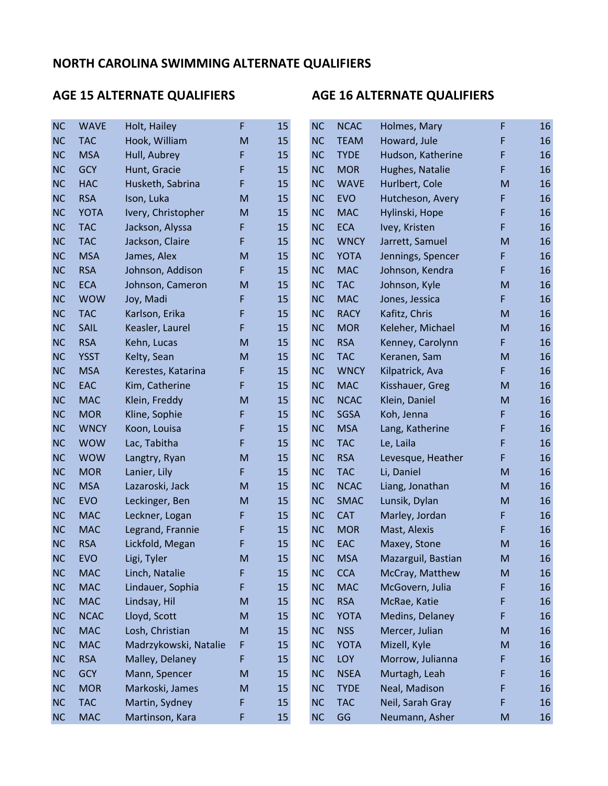| <b>NC</b> | <b>WAVE</b> | Holt, Hailey          | F | 15 | <b>NC</b> | <b>NCAC</b> | Holmes, Mary       | F | 16 |
|-----------|-------------|-----------------------|---|----|-----------|-------------|--------------------|---|----|
| <b>NC</b> | <b>TAC</b>  | Hook, William         | M | 15 | <b>NC</b> | <b>TEAM</b> | Howard, Jule       | F | 16 |
| <b>NC</b> | <b>MSA</b>  | Hull, Aubrey          | F | 15 | <b>NC</b> | <b>TYDE</b> | Hudson, Katherine  | F | 16 |
| <b>NC</b> | <b>GCY</b>  | Hunt, Gracie          | F | 15 | <b>NC</b> | <b>MOR</b>  | Hughes, Natalie    | F | 16 |
| <b>NC</b> | <b>HAC</b>  | Husketh, Sabrina      | F | 15 | <b>NC</b> | <b>WAVE</b> | Hurlbert, Cole     | M | 16 |
| <b>NC</b> | <b>RSA</b>  | Ison, Luka            | M | 15 | <b>NC</b> | <b>EVO</b>  | Hutcheson, Avery   | F | 16 |
| <b>NC</b> | <b>YOTA</b> | Ivery, Christopher    | M | 15 | <b>NC</b> | <b>MAC</b>  | Hylinski, Hope     | F | 16 |
| <b>NC</b> | <b>TAC</b>  | Jackson, Alyssa       | F | 15 | <b>NC</b> | <b>ECA</b>  | Ivey, Kristen      | F | 16 |
| <b>NC</b> | <b>TAC</b>  | Jackson, Claire       | F | 15 | <b>NC</b> | <b>WNCY</b> | Jarrett, Samuel    | M | 16 |
| <b>NC</b> | <b>MSA</b>  | James, Alex           | M | 15 | <b>NC</b> | <b>YOTA</b> | Jennings, Spencer  | F | 16 |
| <b>NC</b> | <b>RSA</b>  | Johnson, Addison      | F | 15 | <b>NC</b> | <b>MAC</b>  | Johnson, Kendra    | F | 16 |
| <b>NC</b> | <b>ECA</b>  | Johnson, Cameron      | M | 15 | <b>NC</b> | <b>TAC</b>  | Johnson, Kyle      | M | 16 |
| <b>NC</b> | <b>WOW</b>  | Joy, Madi             | F | 15 | <b>NC</b> | <b>MAC</b>  | Jones, Jessica     | F | 16 |
| <b>NC</b> | <b>TAC</b>  | Karlson, Erika        | F | 15 | <b>NC</b> | <b>RACY</b> | Kafitz, Chris      | M | 16 |
| <b>NC</b> | <b>SAIL</b> | Keasler, Laurel       | F | 15 | <b>NC</b> | <b>MOR</b>  | Keleher, Michael   | M | 16 |
| <b>NC</b> | <b>RSA</b>  | Kehn, Lucas           | M | 15 | <b>NC</b> | <b>RSA</b>  | Kenney, Carolynn   | F | 16 |
| <b>NC</b> | <b>YSST</b> | Kelty, Sean           | M | 15 | <b>NC</b> | <b>TAC</b>  | Keranen, Sam       | M | 16 |
| <b>NC</b> | <b>MSA</b>  | Kerestes, Katarina    | F | 15 | <b>NC</b> | <b>WNCY</b> | Kilpatrick, Ava    | F | 16 |
| <b>NC</b> | EAC         | Kim, Catherine        | F | 15 | <b>NC</b> | <b>MAC</b>  | Kisshauer, Greg    | M | 16 |
| <b>NC</b> | <b>MAC</b>  | Klein, Freddy         | M | 15 | <b>NC</b> | <b>NCAC</b> | Klein, Daniel      | M | 16 |
| <b>NC</b> | <b>MOR</b>  | Kline, Sophie         | F | 15 | <b>NC</b> | <b>SGSA</b> | Koh, Jenna         | F | 16 |
| <b>NC</b> | <b>WNCY</b> | Koon, Louisa          | F | 15 | <b>NC</b> | <b>MSA</b>  | Lang, Katherine    | F | 16 |
| <b>NC</b> | <b>WOW</b>  | Lac, Tabitha          | F | 15 | <b>NC</b> | <b>TAC</b>  | Le, Laila          | F | 16 |
| <b>NC</b> | <b>WOW</b>  | Langtry, Ryan         | M | 15 | <b>NC</b> | <b>RSA</b>  | Levesque, Heather  | F | 16 |
| <b>NC</b> | <b>MOR</b>  | Lanier, Lily          | F | 15 | <b>NC</b> | <b>TAC</b>  | Li, Daniel         | M | 16 |
| <b>NC</b> | <b>MSA</b>  | Lazaroski, Jack       | M | 15 | <b>NC</b> | <b>NCAC</b> | Liang, Jonathan    | M | 16 |
| <b>NC</b> | <b>EVO</b>  | Leckinger, Ben        | M | 15 | <b>NC</b> | <b>SMAC</b> | Lunsik, Dylan      | M | 16 |
| <b>NC</b> | <b>MAC</b>  | Leckner, Logan        | F | 15 | <b>NC</b> | <b>CAT</b>  | Marley, Jordan     | F | 16 |
| <b>NC</b> | <b>MAC</b>  | Legrand, Frannie      | F | 15 | <b>NC</b> | <b>MOR</b>  | Mast, Alexis       | F | 16 |
| <b>NC</b> | <b>RSA</b>  | Lickfold, Megan       | F | 15 | <b>NC</b> | <b>EAC</b>  | Maxey, Stone       | M | 16 |
| <b>NC</b> | <b>EVO</b>  | Ligi, Tyler           | M | 15 | <b>NC</b> | <b>MSA</b>  | Mazarguil, Bastian | M | 16 |
| <b>NC</b> | <b>MAC</b>  | Linch, Natalie        | F | 15 | <b>NC</b> | <b>CCA</b>  | McCray, Matthew    | M | 16 |
| <b>NC</b> | <b>MAC</b>  | Lindauer, Sophia      | F | 15 | <b>NC</b> | <b>MAC</b>  | McGovern, Julia    | F | 16 |
| NC        | <b>MAC</b>  | Lindsay, Hil          | M | 15 | <b>NC</b> | <b>RSA</b>  | McRae, Katie       | F | 16 |
| <b>NC</b> | <b>NCAC</b> | Lloyd, Scott          | M | 15 | <b>NC</b> | <b>YOTA</b> | Medins, Delaney    | F | 16 |
| <b>NC</b> | <b>MAC</b>  | Losh, Christian       | M | 15 | <b>NC</b> | <b>NSS</b>  | Mercer, Julian     | M | 16 |
| <b>NC</b> | <b>MAC</b>  | Madrzykowski, Natalie | F | 15 | <b>NC</b> | <b>YOTA</b> | Mizell, Kyle       | M | 16 |
| <b>NC</b> | <b>RSA</b>  | Malley, Delaney       | F | 15 | <b>NC</b> | <b>LOY</b>  | Morrow, Julianna   | F | 16 |
| <b>NC</b> | <b>GCY</b>  | Mann, Spencer         | M | 15 | <b>NC</b> | <b>NSEA</b> | Murtagh, Leah      | F | 16 |
| <b>NC</b> | <b>MOR</b>  | Markoski, James       | M | 15 | <b>NC</b> | <b>TYDE</b> | Neal, Madison      | F | 16 |
| NC        | <b>TAC</b>  | Martin, Sydney        | F | 15 | <b>NC</b> | <b>TAC</b>  | Neil, Sarah Gray   | F | 16 |
| <b>NC</b> | <b>MAC</b>  | Martinson, Kara       | F | 15 | <b>NC</b> | GG          | Neumann, Asher     | M | 16 |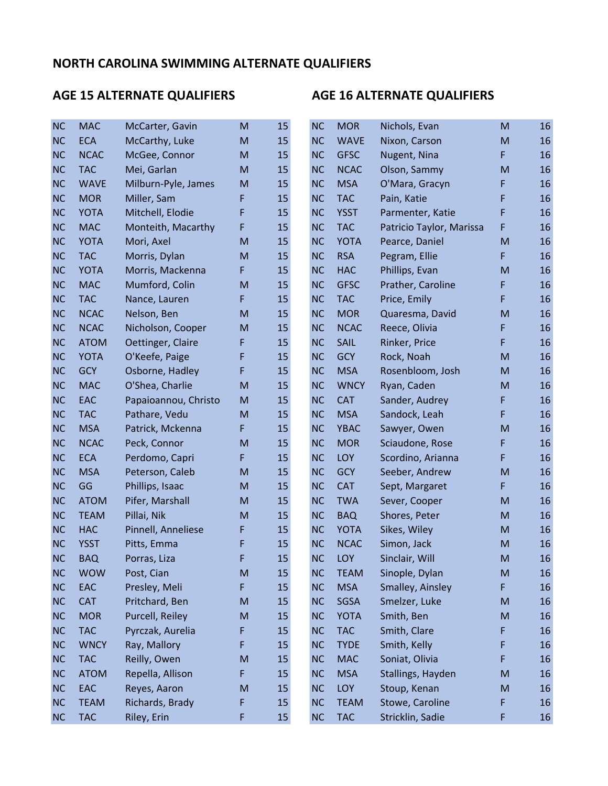| <b>NC</b> | <b>MAC</b>  | McCarter, Gavin      | M | 15 | <b>NC</b> | <b>MOR</b>  | Nichols, Evan            | M         | 16 |
|-----------|-------------|----------------------|---|----|-----------|-------------|--------------------------|-----------|----|
| <b>NC</b> | <b>ECA</b>  | McCarthy, Luke       | M | 15 | <b>NC</b> | <b>WAVE</b> | Nixon, Carson            | ${\sf M}$ | 16 |
| <b>NC</b> | <b>NCAC</b> | McGee, Connor        | M | 15 | <b>NC</b> | <b>GFSC</b> | Nugent, Nina             | F         | 16 |
| <b>NC</b> | <b>TAC</b>  | Mei, Garlan          | M | 15 | <b>NC</b> | <b>NCAC</b> | Olson, Sammy             | ${\sf M}$ | 16 |
| <b>NC</b> | <b>WAVE</b> | Milburn-Pyle, James  | M | 15 | <b>NC</b> | <b>MSA</b>  | O'Mara, Gracyn           | F         | 16 |
| <b>NC</b> | <b>MOR</b>  | Miller, Sam          | F | 15 | <b>NC</b> | <b>TAC</b>  | Pain, Katie              | F         | 16 |
| <b>NC</b> | <b>YOTA</b> | Mitchell, Elodie     | F | 15 | <b>NC</b> | <b>YSST</b> | Parmenter, Katie         | F         | 16 |
| <b>NC</b> | <b>MAC</b>  | Monteith, Macarthy   | F | 15 | <b>NC</b> | <b>TAC</b>  | Patricio Taylor, Marissa | F         | 16 |
| <b>NC</b> | <b>YOTA</b> | Mori, Axel           | M | 15 | <b>NC</b> | <b>YOTA</b> | Pearce, Daniel           | ${\sf M}$ | 16 |
| <b>NC</b> | <b>TAC</b>  | Morris, Dylan        | M | 15 | <b>NC</b> | <b>RSA</b>  | Pegram, Ellie            | F         | 16 |
| <b>NC</b> | <b>YOTA</b> | Morris, Mackenna     | F | 15 | <b>NC</b> | <b>HAC</b>  | Phillips, Evan           | ${\sf M}$ | 16 |
| <b>NC</b> | <b>MAC</b>  | Mumford, Colin       | M | 15 | <b>NC</b> | <b>GFSC</b> | Prather, Caroline        | F         | 16 |
| <b>NC</b> | <b>TAC</b>  | Nance, Lauren        | F | 15 | <b>NC</b> | <b>TAC</b>  | Price, Emily             | F         | 16 |
| <b>NC</b> | <b>NCAC</b> | Nelson, Ben          | M | 15 | <b>NC</b> | <b>MOR</b>  | Quaresma, David          | M         | 16 |
| <b>NC</b> | <b>NCAC</b> | Nicholson, Cooper    | M | 15 | <b>NC</b> | <b>NCAC</b> | Reece, Olivia            | F         | 16 |
| <b>NC</b> | <b>ATOM</b> | Oettinger, Claire    | F | 15 | <b>NC</b> | SAIL        | Rinker, Price            | F         | 16 |
| <b>NC</b> | <b>YOTA</b> | O'Keefe, Paige       | F | 15 | <b>NC</b> | <b>GCY</b>  | Rock, Noah               | ${\sf M}$ | 16 |
| <b>NC</b> | <b>GCY</b>  | Osborne, Hadley      | F | 15 | <b>NC</b> | <b>MSA</b>  | Rosenbloom, Josh         | ${\sf M}$ | 16 |
| <b>NC</b> | <b>MAC</b>  | O'Shea, Charlie      | M | 15 | <b>NC</b> | <b>WNCY</b> | Ryan, Caden              | ${\sf M}$ | 16 |
| <b>NC</b> | EAC         | Papaioannou, Christo | M | 15 | <b>NC</b> | <b>CAT</b>  | Sander, Audrey           | F         | 16 |
| <b>NC</b> | <b>TAC</b>  | Pathare, Vedu        | M | 15 | <b>NC</b> | <b>MSA</b>  | Sandock, Leah            | F         | 16 |
| <b>NC</b> | <b>MSA</b>  | Patrick, Mckenna     | F | 15 | <b>NC</b> | <b>YBAC</b> | Sawyer, Owen             | ${\sf M}$ | 16 |
| <b>NC</b> | <b>NCAC</b> | Peck, Connor         | M | 15 | <b>NC</b> | <b>MOR</b>  | Sciaudone, Rose          | F         | 16 |
| <b>NC</b> | <b>ECA</b>  | Perdomo, Capri       | F | 15 | <b>NC</b> | LOY         | Scordino, Arianna        | F         | 16 |
| <b>NC</b> | <b>MSA</b>  | Peterson, Caleb      | M | 15 | <b>NC</b> | <b>GCY</b>  | Seeber, Andrew           | ${\sf M}$ | 16 |
| <b>NC</b> | GG          | Phillips, Isaac      | M | 15 | <b>NC</b> | <b>CAT</b>  | Sept, Margaret           | F         | 16 |
| <b>NC</b> | <b>ATOM</b> | Pifer, Marshall      | M | 15 | <b>NC</b> | <b>TWA</b>  | Sever, Cooper            | ${\sf M}$ | 16 |
| <b>NC</b> | <b>TEAM</b> | Pillai, Nik          | M | 15 | <b>NC</b> | <b>BAQ</b>  | Shores, Peter            | ${\sf M}$ | 16 |
| <b>NC</b> | <b>HAC</b>  | Pinnell, Anneliese   | F | 15 | <b>NC</b> | <b>YOTA</b> | Sikes, Wiley             | M         | 16 |
| <b>NC</b> | <b>YSST</b> | Pitts, Emma          | F | 15 | <b>NC</b> | <b>NCAC</b> | Simon, Jack              | M         | 16 |
| <b>NC</b> | <b>BAQ</b>  | Porras, Liza         | F | 15 | <b>NC</b> | LOY         | Sinclair, Will           | M         | 16 |
| <b>NC</b> | <b>WOW</b>  | Post, Cian           | M | 15 | <b>NC</b> | <b>TEAM</b> | Sinople, Dylan           | ${\sf M}$ | 16 |
| NC        | EAC         | Presley, Meli        | F | 15 | <b>NC</b> | <b>MSA</b>  | Smalley, Ainsley         | F         | 16 |
| NC        | <b>CAT</b>  | Pritchard, Ben       | M | 15 | <b>NC</b> | SGSA        | Smelzer, Luke            | ${\sf M}$ | 16 |
| NC        | <b>MOR</b>  | Purcell, Reiley      | M | 15 | <b>NC</b> | <b>YOTA</b> | Smith, Ben               | ${\sf M}$ | 16 |
| <b>NC</b> | <b>TAC</b>  | Pyrczak, Aurelia     | F | 15 | <b>NC</b> | <b>TAC</b>  | Smith, Clare             | F         | 16 |
| NC        | <b>WNCY</b> | Ray, Mallory         | F | 15 | <b>NC</b> | <b>TYDE</b> | Smith, Kelly             | F         | 16 |
| <b>NC</b> | <b>TAC</b>  | Reilly, Owen         | M | 15 | <b>NC</b> | <b>MAC</b>  | Soniat, Olivia           | F         | 16 |
| <b>NC</b> | <b>ATOM</b> | Repella, Allison     | F | 15 | <b>NC</b> | <b>MSA</b>  | Stallings, Hayden        | ${\sf M}$ | 16 |
| <b>NC</b> | EAC         | Reyes, Aaron         | M | 15 | <b>NC</b> | LOY         | Stoup, Kenan             | ${\sf M}$ | 16 |
| <b>NC</b> | <b>TEAM</b> | Richards, Brady      | F | 15 | <b>NC</b> | <b>TEAM</b> | Stowe, Caroline          | F         | 16 |
| <b>NC</b> | <b>TAC</b>  | Riley, Erin          | F | 15 | NC        | <b>TAC</b>  | Stricklin, Sadie         | F         | 16 |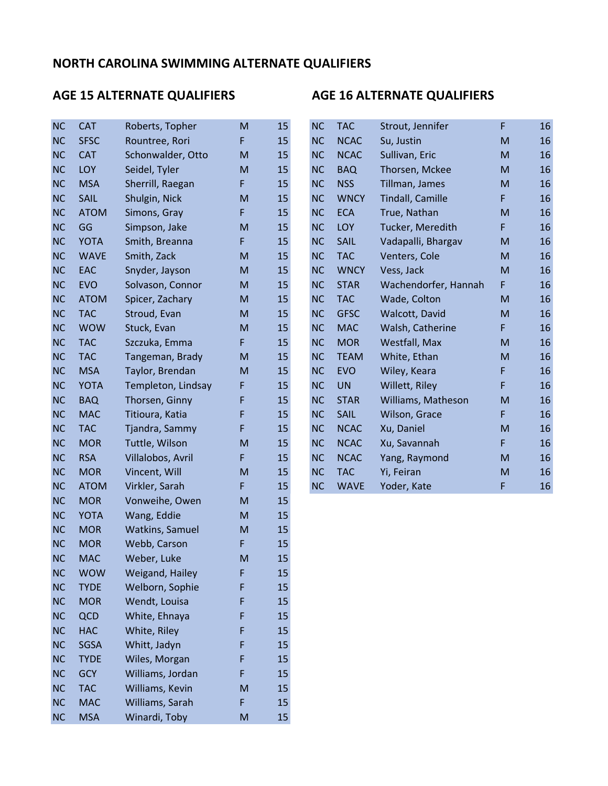### AGE 15 ALTERNATE QUALIFIERS AGE 16 ALTERNATE QUALIFIERS

## NC CAT Roberts, Topher M 15 NC TAC Strout, Jennifer F 16 NC SFSC Rountree, Rori F 15 NC NCAC Su, Justin M 16 NC CAT Schonwalder, Otto M 15 NC NCAC Sullivan, Eric M 16 NC LOY Seidel, Tyler M 15 NC BAQ Thorsen, Mckee M 16 NC MSA Sherrill, Raegan F 15 NC NSS Tillman, James M 16 NC SAIL Shulgin, Nick M 15 NC WNCY Tindall, Camille F 16 NC ATOM Simons, Gray F 15 NC ECA True, Nathan M 16 NC GG Simpson, Jake M 15 NC LOY Tucker, Meredith F 16 NC YOTA Smith, Breanna F 15 NC SAIL Vadapalli, Bhargav M 16 NC WAVE Smith, Zack M 15 NC TAC Venters, Cole M 16 NC EAC Snyder, Jayson M 15 NC WNCY Vess, Jack M 16 NC EVO Solvason, Connor M 15 NC STAR Wachendorfer, Hannah F 16 NC ATOM Spicer, Zachary M 15 NC TAC Wade, Colton M 16 NC TAC Stroud, Evan M 15 NC GFSC Walcott, David M 16 NC WOW Stuck, Evan M 15 NC MAC Walsh, Catherine F 16 NC TAC Szczuka, Emma F 15 NC MOR Westfall, Max M 16 NC TAC Tangeman, Brady M 15 NC TEAM White, Ethan M 16 NC MSA Taylor, Brendan M 15 NC EVO Wiley, Keara F 16 NC YOTA Templeton, Lindsay F 15 NC UN Willett, Riley F 16 NC BAQ Thorsen, Ginny F 15 NC STAR Williams, Matheson M 16 NC MAC Titioura, Katia F 15 NC SAIL Wilson, Grace F 16 NC TAC Tjandra, Sammy F 15 NC NCAC Xu, Daniel M 16 NC MOR Tuttle, Wilson M 15 NC NCAC Xu, Savannah F 16 NC RSA Villalobos, Avril F 15 NC NCAC Yang, Raymond M 16 NC MOR Vincent, Will M 15 NC TAC Yi, Feiran M 16 NC ATOM Virkler, Sarah F 15 NC WAVE Yoder, Kate F 16 NC MOR Vonweihe, Owen M 15 NC YOTA Wang, Eddie M 15 NC MOR Watkins, Samuel M 15 NC MOR Webb, Carson F 15 NC MAC Weber, Luke M 15 NC WOW Weigand, Hailey F 15 NC TYDE Welborn, Sophie F 15 NC MOR Wendt, Louisa F 15 NC QCD White, Ehnaya F 15 NC HAC White, Riley F 15 NC SGSA Whitt, Jadyn F 15

NC TYDE Wiles, Morgan F 15 NC GCY Williams, Jordan F 15 NC TAC Williams, Kevin M 15 NC MAC Williams, Sarah F 15 NC MSA Winardi, Toby M 15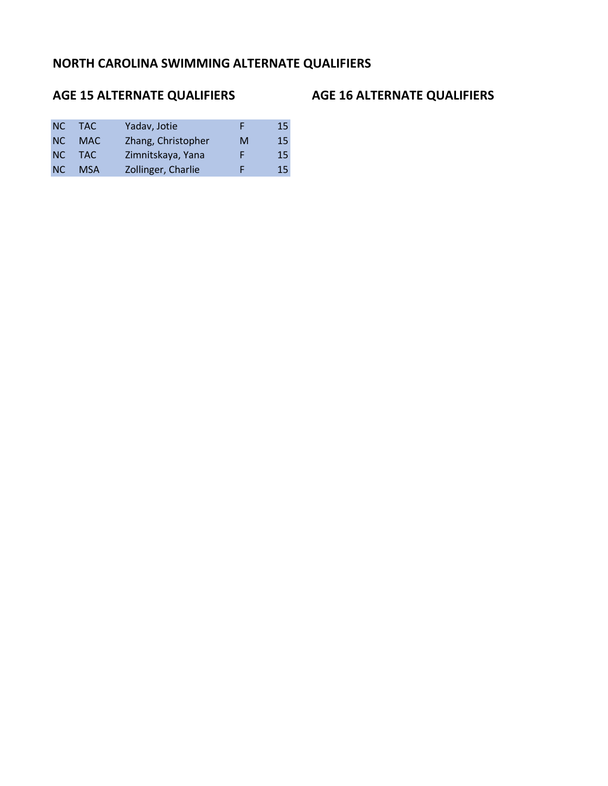## NC TAC Yadav, Jotie F 15 NC MAC Zhang, Christopher M 15 NC TAC Zimnitskaya, Yana F 15 NC MSA Zollinger, Charlie F 15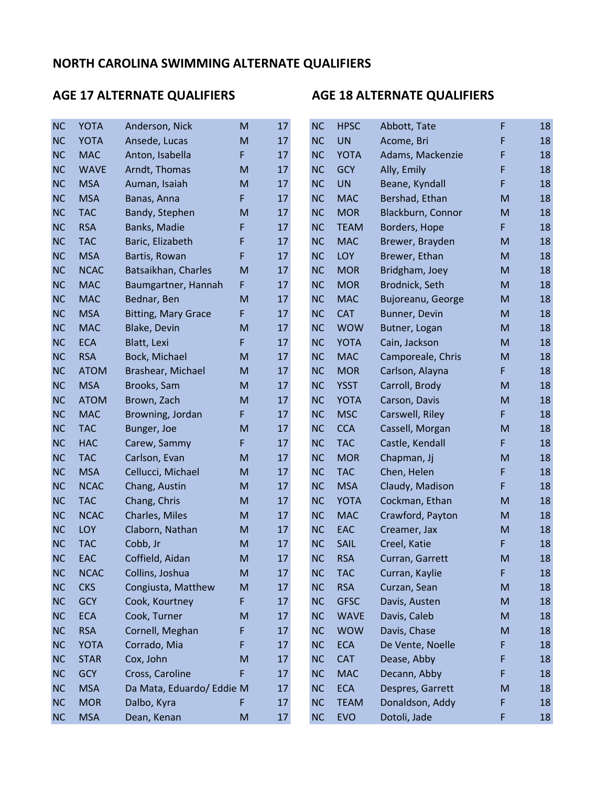| <b>NC</b> | <b>YOTA</b> | Anderson, Nick             | M | 17 | <b>NC</b> | <b>HPSC</b> | Abbott, Tate      | F         | 18 |
|-----------|-------------|----------------------------|---|----|-----------|-------------|-------------------|-----------|----|
| <b>NC</b> | <b>YOTA</b> | Ansede, Lucas              | M | 17 | <b>NC</b> | <b>UN</b>   | Acome, Bri        | F         | 18 |
| <b>NC</b> | <b>MAC</b>  | Anton, Isabella            | F | 17 | <b>NC</b> | <b>YOTA</b> | Adams, Mackenzie  | F         | 18 |
| <b>NC</b> | <b>WAVE</b> | Arndt, Thomas              | M | 17 | <b>NC</b> | <b>GCY</b>  | Ally, Emily       | F         | 18 |
| <b>NC</b> | <b>MSA</b>  | Auman, Isaiah              | M | 17 | <b>NC</b> | <b>UN</b>   | Beane, Kyndall    | F         | 18 |
| NC        | <b>MSA</b>  | Banas, Anna                | F | 17 | <b>NC</b> | <b>MAC</b>  | Bershad, Ethan    | M         | 18 |
| <b>NC</b> | <b>TAC</b>  | Bandy, Stephen             | M | 17 | <b>NC</b> | <b>MOR</b>  | Blackburn, Connor | ${\sf M}$ | 18 |
| <b>NC</b> | <b>RSA</b>  | Banks, Madie               | F | 17 | <b>NC</b> | <b>TEAM</b> | Borders, Hope     | F         | 18 |
| <b>NC</b> | <b>TAC</b>  | Baric, Elizabeth           | F | 17 | <b>NC</b> | <b>MAC</b>  | Brewer, Brayden   | ${\sf M}$ | 18 |
| <b>NC</b> | <b>MSA</b>  | Bartis, Rowan              | F | 17 | <b>NC</b> | <b>LOY</b>  | Brewer, Ethan     | M         | 18 |
| <b>NC</b> | <b>NCAC</b> | Batsaikhan, Charles        | M | 17 | <b>NC</b> | <b>MOR</b>  | Bridgham, Joey    | ${\sf M}$ | 18 |
| <b>NC</b> | <b>MAC</b>  | Baumgartner, Hannah        | F | 17 | <b>NC</b> | <b>MOR</b>  | Brodnick, Seth    | ${\sf M}$ | 18 |
| <b>NC</b> | <b>MAC</b>  | Bednar, Ben                | M | 17 | <b>NC</b> | <b>MAC</b>  | Bujoreanu, George | ${\sf M}$ | 18 |
| <b>NC</b> | <b>MSA</b>  | <b>Bitting, Mary Grace</b> | F | 17 | <b>NC</b> | <b>CAT</b>  | Bunner, Devin     | ${\sf M}$ | 18 |
| <b>NC</b> | <b>MAC</b>  | Blake, Devin               | M | 17 | <b>NC</b> | <b>WOW</b>  | Butner, Logan     | M         | 18 |
| <b>NC</b> | <b>ECA</b>  | Blatt, Lexi                | F | 17 | <b>NC</b> | <b>YOTA</b> | Cain, Jackson     | ${\sf M}$ | 18 |
| <b>NC</b> | <b>RSA</b>  | Bock, Michael              | M | 17 | <b>NC</b> | <b>MAC</b>  | Camporeale, Chris | ${\sf M}$ | 18 |
| <b>NC</b> | <b>ATOM</b> | Brashear, Michael          | M | 17 | <b>NC</b> | <b>MOR</b>  | Carlson, Alayna   | F         | 18 |
| <b>NC</b> | <b>MSA</b>  | Brooks, Sam                | M | 17 | <b>NC</b> | <b>YSST</b> | Carroll, Brody    | ${\sf M}$ | 18 |
| <b>NC</b> | <b>ATOM</b> | Brown, Zach                | M | 17 | <b>NC</b> | <b>YOTA</b> | Carson, Davis     | ${\sf M}$ | 18 |
| <b>NC</b> | <b>MAC</b>  | Browning, Jordan           | F | 17 | <b>NC</b> | <b>MSC</b>  | Carswell, Riley   | F         | 18 |
| <b>NC</b> | <b>TAC</b>  | Bunger, Joe                | M | 17 | <b>NC</b> | <b>CCA</b>  | Cassell, Morgan   | ${\sf M}$ | 18 |
| <b>NC</b> | <b>HAC</b>  | Carew, Sammy               | F | 17 | <b>NC</b> | <b>TAC</b>  | Castle, Kendall   | F         | 18 |
| <b>NC</b> | <b>TAC</b>  | Carlson, Evan              | M | 17 | <b>NC</b> | <b>MOR</b>  | Chapman, Jj       | M         | 18 |
| <b>NC</b> | <b>MSA</b>  | Cellucci, Michael          | M | 17 | <b>NC</b> | <b>TAC</b>  | Chen, Helen       | F         | 18 |
| <b>NC</b> | <b>NCAC</b> | Chang, Austin              | M | 17 | <b>NC</b> | <b>MSA</b>  | Claudy, Madison   | F         | 18 |
| <b>NC</b> | <b>TAC</b>  | Chang, Chris               | M | 17 | <b>NC</b> | <b>YOTA</b> | Cockman, Ethan    | ${\sf M}$ | 18 |
| <b>NC</b> | <b>NCAC</b> | Charles, Miles             | M | 17 | <b>NC</b> | <b>MAC</b>  | Crawford, Payton  | ${\sf M}$ | 18 |
| <b>NC</b> | LOY         | Claborn, Nathan            | M | 17 | <b>NC</b> | EAC         | Creamer, Jax      | M         | 18 |
| <b>NC</b> | <b>TAC</b>  | Cobb, Jr                   | M | 17 | <b>NC</b> | SAIL        | Creel, Katie      | F         | 18 |
| <b>NC</b> | EAC         | Coffield, Aidan            | M | 17 | <b>NC</b> | <b>RSA</b>  | Curran, Garrett   | M         | 18 |
| <b>NC</b> | <b>NCAC</b> | Collins, Joshua            | M | 17 | <b>NC</b> | <b>TAC</b>  | Curran, Kaylie    | F         | 18 |
| NC        | <b>CKS</b>  | Congiusta, Matthew         | M | 17 | <b>NC</b> | <b>RSA</b>  | Curzan, Sean      | ${\sf M}$ | 18 |
| NC        | <b>GCY</b>  | Cook, Kourtney             | F | 17 | <b>NC</b> | <b>GFSC</b> | Davis, Austen     | ${\sf M}$ | 18 |
| <b>NC</b> | <b>ECA</b>  | Cook, Turner               | M | 17 | <b>NC</b> | <b>WAVE</b> | Davis, Caleb      | ${\sf M}$ | 18 |
| <b>NC</b> | <b>RSA</b>  | Cornell, Meghan            | F | 17 | <b>NC</b> | <b>WOW</b>  | Davis, Chase      | ${\sf M}$ | 18 |
| NC        | <b>YOTA</b> | Corrado, Mia               | F | 17 | <b>NC</b> | <b>ECA</b>  | De Vente, Noelle  | F         | 18 |
| NC        | <b>STAR</b> | Cox, John                  | M | 17 | <b>NC</b> | <b>CAT</b>  | Dease, Abby       | F         | 18 |
| <b>NC</b> | <b>GCY</b>  | Cross, Caroline            | F | 17 | <b>NC</b> | <b>MAC</b>  | Decann, Abby      | F         | 18 |
| <b>NC</b> | <b>MSA</b>  | Da Mata, Eduardo/ Eddie M  |   | 17 | <b>NC</b> | <b>ECA</b>  | Despres, Garrett  | ${\sf M}$ | 18 |
| <b>NC</b> | <b>MOR</b>  | Dalbo, Kyra                | F | 17 | <b>NC</b> | <b>TEAM</b> | Donaldson, Addy   | F         | 18 |
| NC        | <b>MSA</b>  | Dean, Kenan                | M | 17 | NC        | <b>EVO</b>  | Dotoli, Jade      | F         | 18 |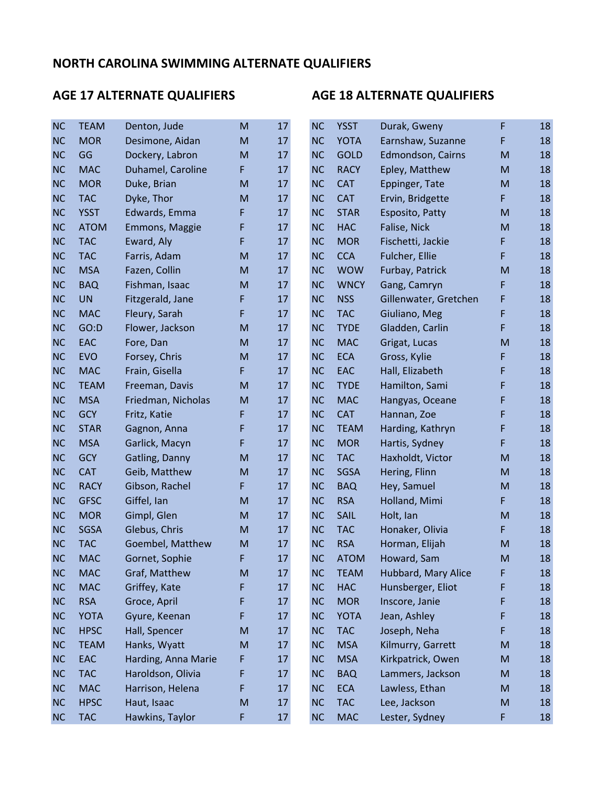| <b>NC</b> | <b>TEAM</b> | Denton, Jude        | M  | 17 | <b>NC</b> | <b>YSST</b> | Durak, Gweny          | F         | 18 |
|-----------|-------------|---------------------|----|----|-----------|-------------|-----------------------|-----------|----|
| <b>NC</b> | <b>MOR</b>  | Desimone, Aidan     | M  | 17 | <b>NC</b> | <b>YOTA</b> | Earnshaw, Suzanne     | F         | 18 |
| <b>NC</b> | GG          | Dockery, Labron     | M  | 17 | <b>NC</b> | <b>GOLD</b> | Edmondson, Cairns     | ${\sf M}$ | 18 |
| <b>NC</b> | <b>MAC</b>  | Duhamel, Caroline   | F. | 17 | <b>NC</b> | <b>RACY</b> | Epley, Matthew        | ${\sf M}$ | 18 |
| <b>NC</b> | <b>MOR</b>  | Duke, Brian         | M  | 17 | <b>NC</b> | <b>CAT</b>  | Eppinger, Tate        | ${\sf M}$ | 18 |
| <b>NC</b> | <b>TAC</b>  | Dyke, Thor          | M  | 17 | <b>NC</b> | <b>CAT</b>  | Ervin, Bridgette      | F         | 18 |
| <b>NC</b> | <b>YSST</b> | Edwards, Emma       | F  | 17 | <b>NC</b> | <b>STAR</b> | Esposito, Patty       | ${\sf M}$ | 18 |
| <b>NC</b> | <b>ATOM</b> | Emmons, Maggie      | F  | 17 | <b>NC</b> | <b>HAC</b>  | Falise, Nick          | ${\sf M}$ | 18 |
| <b>NC</b> | <b>TAC</b>  | Eward, Aly          | F  | 17 | <b>NC</b> | <b>MOR</b>  | Fischetti, Jackie     | F         | 18 |
| <b>NC</b> | <b>TAC</b>  | Farris, Adam        | M  | 17 | <b>NC</b> | <b>CCA</b>  | Fulcher, Ellie        | F         | 18 |
| <b>NC</b> | <b>MSA</b>  | Fazen, Collin       | M  | 17 | <b>NC</b> | <b>WOW</b>  | Furbay, Patrick       | ${\sf M}$ | 18 |
| <b>NC</b> | <b>BAQ</b>  | Fishman, Isaac      | M  | 17 | <b>NC</b> | <b>WNCY</b> | Gang, Camryn          | F         | 18 |
| <b>NC</b> | <b>UN</b>   | Fitzgerald, Jane    | F  | 17 | <b>NC</b> | <b>NSS</b>  | Gillenwater, Gretchen | F         | 18 |
| <b>NC</b> | <b>MAC</b>  | Fleury, Sarah       | F  | 17 | <b>NC</b> | <b>TAC</b>  | Giuliano, Meg         | F         | 18 |
| <b>NC</b> | GO:D        | Flower, Jackson     | M  | 17 | <b>NC</b> | <b>TYDE</b> | Gladden, Carlin       | F         | 18 |
| <b>NC</b> | EAC         | Fore, Dan           | M  | 17 | <b>NC</b> | <b>MAC</b>  | Grigat, Lucas         | M         | 18 |
| <b>NC</b> | <b>EVO</b>  | Forsey, Chris       | M  | 17 | <b>NC</b> | <b>ECA</b>  | Gross, Kylie          | F         | 18 |
| <b>NC</b> | <b>MAC</b>  | Frain, Gisella      | F. | 17 | <b>NC</b> | EAC         | Hall, Elizabeth       | F         | 18 |
| <b>NC</b> | <b>TEAM</b> | Freeman, Davis      | M  | 17 | <b>NC</b> | <b>TYDE</b> | Hamilton, Sami        | F         | 18 |
| <b>NC</b> | <b>MSA</b>  | Friedman, Nicholas  | M  | 17 | <b>NC</b> | <b>MAC</b>  | Hangyas, Oceane       | F         | 18 |
| <b>NC</b> | <b>GCY</b>  | Fritz, Katie        | F  | 17 | <b>NC</b> | <b>CAT</b>  | Hannan, Zoe           | F         | 18 |
| <b>NC</b> | <b>STAR</b> | Gagnon, Anna        | F  | 17 | <b>NC</b> | <b>TEAM</b> | Harding, Kathryn      | F         | 18 |
| <b>NC</b> | <b>MSA</b>  | Garlick, Macyn      | F. | 17 | <b>NC</b> | <b>MOR</b>  | Hartis, Sydney        | F         | 18 |
| <b>NC</b> | <b>GCY</b>  | Gatling, Danny      | M  | 17 | <b>NC</b> | <b>TAC</b>  | Haxholdt, Victor      | ${\sf M}$ | 18 |
| <b>NC</b> | <b>CAT</b>  | Geib, Matthew       | M  | 17 | <b>NC</b> | <b>SGSA</b> | Hering, Flinn         | ${\sf M}$ | 18 |
| <b>NC</b> | <b>RACY</b> | Gibson, Rachel      | F. | 17 | <b>NC</b> | <b>BAQ</b>  | Hey, Samuel           | M         | 18 |
| <b>NC</b> | <b>GFSC</b> | Giffel, Ian         | M  | 17 | <b>NC</b> | <b>RSA</b>  | Holland, Mimi         | F         | 18 |
| <b>NC</b> | <b>MOR</b>  | Gimpl, Glen         | M  | 17 | <b>NC</b> | <b>SAIL</b> | Holt, Ian             | ${\sf M}$ | 18 |
| <b>NC</b> | <b>SGSA</b> | Glebus, Chris       | M  | 17 | <b>NC</b> | <b>TAC</b>  | Honaker, Olivia       | F         | 18 |
| <b>NC</b> | <b>TAC</b>  | Goembel, Matthew    | M  | 17 | <b>NC</b> | <b>RSA</b>  | Horman, Elijah        | ${\sf M}$ | 18 |
| <b>NC</b> | <b>MAC</b>  | Gornet, Sophie      | F  | 17 | <b>NC</b> | <b>ATOM</b> | Howard, Sam           | ${\sf M}$ | 18 |
| <b>NC</b> | <b>MAC</b>  | Graf, Matthew       | M  | 17 | <b>NC</b> | <b>TEAM</b> | Hubbard, Mary Alice   | F         | 18 |
| <b>NC</b> | <b>MAC</b>  | Griffey, Kate       | F  | 17 | <b>NC</b> | <b>HAC</b>  | Hunsberger, Eliot     | F         | 18 |
| <b>NC</b> | <b>RSA</b>  | Groce, April        | F  | 17 | <b>NC</b> | <b>MOR</b>  | Inscore, Janie        | F         | 18 |
| <b>NC</b> | <b>YOTA</b> | Gyure, Keenan       | F  | 17 | <b>NC</b> | <b>YOTA</b> | Jean, Ashley          | F         | 18 |
| <b>NC</b> | <b>HPSC</b> | Hall, Spencer       | M  | 17 | <b>NC</b> | <b>TAC</b>  | Joseph, Neha          | F         | 18 |
| <b>NC</b> | <b>TEAM</b> | Hanks, Wyatt        | M  | 17 | <b>NC</b> | <b>MSA</b>  | Kilmurry, Garrett     | ${\sf M}$ | 18 |
| <b>NC</b> | EAC         | Harding, Anna Marie | F  | 17 | <b>NC</b> | <b>MSA</b>  | Kirkpatrick, Owen     | ${\sf M}$ | 18 |
| <b>NC</b> | <b>TAC</b>  | Haroldson, Olivia   | F  | 17 | <b>NC</b> | <b>BAQ</b>  | Lammers, Jackson      | ${\sf M}$ | 18 |
| <b>NC</b> | <b>MAC</b>  | Harrison, Helena    | F  | 17 | <b>NC</b> | <b>ECA</b>  | Lawless, Ethan        | ${\sf M}$ | 18 |
| <b>NC</b> | <b>HPSC</b> | Haut, Isaac         | M  | 17 | <b>NC</b> | <b>TAC</b>  | Lee, Jackson          | ${\sf M}$ | 18 |
| <b>NC</b> | <b>TAC</b>  | Hawkins, Taylor     | F  | 17 | <b>NC</b> | <b>MAC</b>  | Lester, Sydney        | F         | 18 |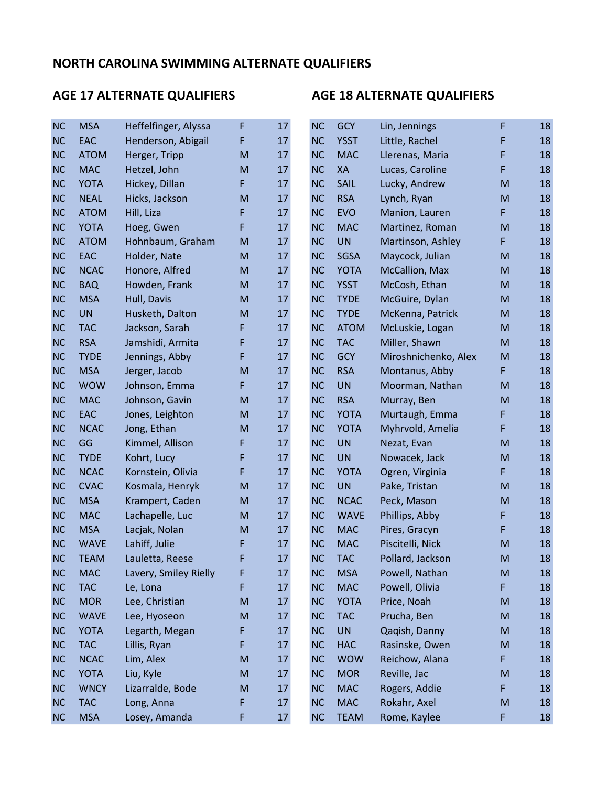| <b>NC</b> | <b>MSA</b>  | Heffelfinger, Alyssa  | F | 17 | <b>NC</b> | <b>GCY</b>  | Lin, Jennings        | F  | 18 |
|-----------|-------------|-----------------------|---|----|-----------|-------------|----------------------|----|----|
| <b>NC</b> | EAC         | Henderson, Abigail    | F | 17 | <b>NC</b> | <b>YSST</b> | Little, Rachel       | F  | 18 |
| <b>NC</b> | <b>ATOM</b> | Herger, Tripp         | M | 17 | <b>NC</b> | <b>MAC</b>  | Llerenas, Maria      | F  | 18 |
| <b>NC</b> | <b>MAC</b>  | Hetzel, John          | M | 17 | <b>NC</b> | XA          | Lucas, Caroline      | F  | 18 |
| <b>NC</b> | <b>YOTA</b> | Hickey, Dillan        | F | 17 | <b>NC</b> | <b>SAIL</b> | Lucky, Andrew        | M  | 18 |
| <b>NC</b> | <b>NEAL</b> | Hicks, Jackson        | M | 17 | <b>NC</b> | <b>RSA</b>  | Lynch, Ryan          | M  | 18 |
| <b>NC</b> | <b>ATOM</b> | Hill, Liza            | F | 17 | <b>NC</b> | <b>EVO</b>  | Manion, Lauren       | F  | 18 |
| <b>NC</b> | <b>YOTA</b> | Hoeg, Gwen            | F | 17 | <b>NC</b> | <b>MAC</b>  | Martinez, Roman      | M  | 18 |
| <b>NC</b> | <b>ATOM</b> | Hohnbaum, Graham      | M | 17 | <b>NC</b> | <b>UN</b>   | Martinson, Ashley    | F  | 18 |
| <b>NC</b> | EAC         | Holder, Nate          | M | 17 | <b>NC</b> | SGSA        | Maycock, Julian      | M  | 18 |
| <b>NC</b> | <b>NCAC</b> | Honore, Alfred        | M | 17 | <b>NC</b> | <b>YOTA</b> | McCallion, Max       | M  | 18 |
| <b>NC</b> | <b>BAQ</b>  | Howden, Frank         | M | 17 | <b>NC</b> | <b>YSST</b> | McCosh, Ethan        | M  | 18 |
| <b>NC</b> | <b>MSA</b>  | Hull, Davis           | M | 17 | <b>NC</b> | <b>TYDE</b> | McGuire, Dylan       | M  | 18 |
| <b>NC</b> | <b>UN</b>   | Husketh, Dalton       | M | 17 | <b>NC</b> | <b>TYDE</b> | McKenna, Patrick     | M  | 18 |
| <b>NC</b> | <b>TAC</b>  | Jackson, Sarah        | F | 17 | <b>NC</b> | <b>ATOM</b> | McLuskie, Logan      | M  | 18 |
| <b>NC</b> | <b>RSA</b>  | Jamshidi, Armita      | F | 17 | <b>NC</b> | <b>TAC</b>  | Miller, Shawn        | M  | 18 |
| <b>NC</b> | <b>TYDE</b> | Jennings, Abby        | F | 17 | <b>NC</b> | <b>GCY</b>  | Miroshnichenko, Alex | M  | 18 |
| <b>NC</b> | <b>MSA</b>  | Jerger, Jacob         | M | 17 | <b>NC</b> | <b>RSA</b>  | Montanus, Abby       | F  | 18 |
| <b>NC</b> | <b>WOW</b>  | Johnson, Emma         | F | 17 | <b>NC</b> | <b>UN</b>   | Moorman, Nathan      | M  | 18 |
| <b>NC</b> | <b>MAC</b>  | Johnson, Gavin        | M | 17 | <b>NC</b> | <b>RSA</b>  | Murray, Ben          | M  | 18 |
| <b>NC</b> | EAC         | Jones, Leighton       | M | 17 | <b>NC</b> | <b>YOTA</b> | Murtaugh, Emma       | F  | 18 |
| <b>NC</b> | <b>NCAC</b> | Jong, Ethan           | M | 17 | <b>NC</b> | <b>YOTA</b> | Myhrvold, Amelia     | F  | 18 |
| <b>NC</b> | GG          | Kimmel, Allison       | F | 17 | <b>NC</b> | <b>UN</b>   | Nezat, Evan          | M  | 18 |
| <b>NC</b> | <b>TYDE</b> | Kohrt, Lucy           | F | 17 | <b>NC</b> | <b>UN</b>   | Nowacek, Jack        | M  | 18 |
| <b>NC</b> | <b>NCAC</b> | Kornstein, Olivia     | F | 17 | <b>NC</b> | <b>YOTA</b> | Ogren, Virginia      | F  | 18 |
| <b>NC</b> | <b>CVAC</b> | Kosmala, Henryk       | M | 17 | <b>NC</b> | <b>UN</b>   | Pake, Tristan        | M  | 18 |
| <b>NC</b> | <b>MSA</b>  | Krampert, Caden       | M | 17 | <b>NC</b> | <b>NCAC</b> | Peck, Mason          | M  | 18 |
| <b>NC</b> | <b>MAC</b>  | Lachapelle, Luc       | M | 17 | <b>NC</b> | <b>WAVE</b> | Phillips, Abby       | F  | 18 |
| <b>NC</b> | <b>MSA</b>  | Lacjak, Nolan         | M | 17 | <b>NC</b> | <b>MAC</b>  | Pires, Gracyn        | F  | 18 |
| <b>NC</b> | <b>WAVE</b> | Lahiff, Julie         | F | 17 | <b>NC</b> | <b>MAC</b>  | Piscitelli, Nick     | M  | 18 |
| <b>NC</b> | <b>TEAM</b> | Lauletta, Reese       | F | 17 | <b>NC</b> | <b>TAC</b>  | Pollard, Jackson     | M  | 18 |
| <b>NC</b> | <b>MAC</b>  | Lavery, Smiley Rielly | F | 17 | <b>NC</b> | <b>MSA</b>  | Powell, Nathan       | M  | 18 |
| <b>NC</b> | <b>TAC</b>  | Le, Lona              | F | 17 | <b>NC</b> | <b>MAC</b>  | Powell, Olivia       | F. | 18 |
| NC        | <b>MOR</b>  | Lee, Christian        | M | 17 | <b>NC</b> | <b>YOTA</b> | Price, Noah          | M  | 18 |
| <b>NC</b> | <b>WAVE</b> | Lee, Hyoseon          | M | 17 | <b>NC</b> | <b>TAC</b>  | Prucha, Ben          | M  | 18 |
| NC        | <b>YOTA</b> | Legarth, Megan        | F | 17 | <b>NC</b> | <b>UN</b>   | Qaqish, Danny        | M  | 18 |
| <b>NC</b> | <b>TAC</b>  | Lillis, Ryan          | F | 17 | <b>NC</b> | <b>HAC</b>  | Rasinske, Owen       | M  | 18 |
| <b>NC</b> | <b>NCAC</b> | Lim, Alex             | M | 17 | <b>NC</b> | <b>WOW</b>  | Reichow, Alana       | F  | 18 |
| <b>NC</b> | <b>YOTA</b> | Liu, Kyle             | M | 17 | <b>NC</b> | <b>MOR</b>  | Reville, Jac         | M  | 18 |
| <b>NC</b> | <b>WNCY</b> | Lizarralde, Bode      | M | 17 | <b>NC</b> | <b>MAC</b>  | Rogers, Addie        | F  | 18 |
| NC        | <b>TAC</b>  | Long, Anna            | F | 17 | <b>NC</b> | <b>MAC</b>  | Rokahr, Axel         | M  | 18 |
| NC        | <b>MSA</b>  | Losey, Amanda         | F | 17 | NC        | <b>TEAM</b> | Rome, Kaylee         | F  | 18 |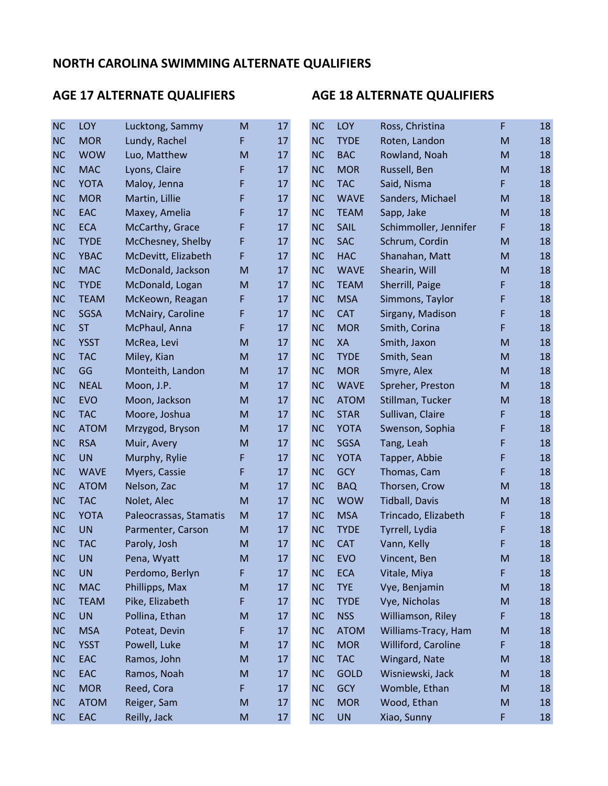| <b>NC</b> | LOY         | Lucktong, Sammy        | M | 17 | <b>NC</b> | LOY         | Ross, Christina       | F                                                                                                          | 18 |
|-----------|-------------|------------------------|---|----|-----------|-------------|-----------------------|------------------------------------------------------------------------------------------------------------|----|
| <b>NC</b> | <b>MOR</b>  | Lundy, Rachel          | F | 17 | <b>NC</b> | <b>TYDE</b> | Roten, Landon         | ${\sf M}$                                                                                                  | 18 |
| <b>NC</b> | <b>WOW</b>  | Luo, Matthew           | M | 17 | <b>NC</b> | <b>BAC</b>  | Rowland, Noah         | ${\sf M}$                                                                                                  | 18 |
| <b>NC</b> | <b>MAC</b>  | Lyons, Claire          | F | 17 | <b>NC</b> | <b>MOR</b>  | Russell, Ben          | ${\sf M}$                                                                                                  | 18 |
| <b>NC</b> | <b>YOTA</b> | Maloy, Jenna           | F | 17 | <b>NC</b> | <b>TAC</b>  | Said, Nisma           | F                                                                                                          | 18 |
| <b>NC</b> | <b>MOR</b>  | Martin, Lillie         | F | 17 | <b>NC</b> | <b>WAVE</b> | Sanders, Michael      | ${\sf M}$                                                                                                  | 18 |
| <b>NC</b> | EAC         | Maxey, Amelia          | F | 17 | <b>NC</b> | <b>TEAM</b> | Sapp, Jake            | ${\sf M}$                                                                                                  | 18 |
| <b>NC</b> | <b>ECA</b>  | McCarthy, Grace        | F | 17 | <b>NC</b> | <b>SAIL</b> | Schimmoller, Jennifer | F                                                                                                          | 18 |
| <b>NC</b> | <b>TYDE</b> | McChesney, Shelby      | F | 17 | <b>NC</b> | <b>SAC</b>  | Schrum, Cordin        | ${\sf M}$                                                                                                  | 18 |
| <b>NC</b> | <b>YBAC</b> | McDevitt, Elizabeth    | F | 17 | <b>NC</b> | <b>HAC</b>  | Shanahan, Matt        | ${\sf M}$                                                                                                  | 18 |
| <b>NC</b> | <b>MAC</b>  | McDonald, Jackson      | M | 17 | <b>NC</b> | <b>WAVE</b> | Shearin, Will         | ${\sf M}$                                                                                                  | 18 |
| <b>NC</b> | <b>TYDE</b> | McDonald, Logan        | M | 17 | <b>NC</b> | <b>TEAM</b> | Sherrill, Paige       | F                                                                                                          | 18 |
| <b>NC</b> | <b>TEAM</b> | McKeown, Reagan        | F | 17 | <b>NC</b> | <b>MSA</b>  | Simmons, Taylor       | F                                                                                                          | 18 |
| <b>NC</b> | SGSA        | McNairy, Caroline      | F | 17 | <b>NC</b> | <b>CAT</b>  | Sirgany, Madison      | F                                                                                                          | 18 |
| <b>NC</b> | <b>ST</b>   | McPhaul, Anna          | F | 17 | <b>NC</b> | <b>MOR</b>  | Smith, Corina         | F                                                                                                          | 18 |
| <b>NC</b> | <b>YSST</b> | McRea, Levi            | M | 17 | <b>NC</b> | XA          | Smith, Jaxon          | M                                                                                                          | 18 |
| <b>NC</b> | <b>TAC</b>  | Miley, Kian            | M | 17 | <b>NC</b> | <b>TYDE</b> | Smith, Sean           | ${\sf M}$                                                                                                  | 18 |
| <b>NC</b> | GG          | Monteith, Landon       | M | 17 | <b>NC</b> | <b>MOR</b>  | Smyre, Alex           | ${\sf M}$                                                                                                  | 18 |
| <b>NC</b> | <b>NEAL</b> | Moon, J.P.             | M | 17 | <b>NC</b> | <b>WAVE</b> | Spreher, Preston      | ${\sf M}$                                                                                                  | 18 |
| <b>NC</b> | <b>EVO</b>  | Moon, Jackson          | M | 17 | <b>NC</b> | <b>ATOM</b> | Stillman, Tucker      | M                                                                                                          | 18 |
| <b>NC</b> | <b>TAC</b>  | Moore, Joshua          | M | 17 | <b>NC</b> | <b>STAR</b> | Sullivan, Claire      | F                                                                                                          | 18 |
| <b>NC</b> | <b>ATOM</b> | Mrzygod, Bryson        | M | 17 | <b>NC</b> | <b>YOTA</b> | Swenson, Sophia       | F                                                                                                          | 18 |
| <b>NC</b> | <b>RSA</b>  | Muir, Avery            | M | 17 | <b>NC</b> | <b>SGSA</b> | Tang, Leah            | F                                                                                                          | 18 |
| <b>NC</b> | <b>UN</b>   | Murphy, Rylie          | F | 17 | <b>NC</b> | <b>YOTA</b> | Tapper, Abbie         | F                                                                                                          | 18 |
| <b>NC</b> | <b>WAVE</b> | Myers, Cassie          | F | 17 | <b>NC</b> | <b>GCY</b>  | Thomas, Cam           | F                                                                                                          | 18 |
| <b>NC</b> | <b>ATOM</b> | Nelson, Zac            | M | 17 | <b>NC</b> | <b>BAQ</b>  | Thorsen, Crow         | ${\sf M}$                                                                                                  | 18 |
| <b>NC</b> | <b>TAC</b>  | Nolet, Alec            | M | 17 | <b>NC</b> | <b>WOW</b>  | <b>Tidball, Davis</b> | ${\sf M}$                                                                                                  | 18 |
| <b>NC</b> | <b>YOTA</b> | Paleocrassas, Stamatis | M | 17 | <b>NC</b> | <b>MSA</b>  | Trincado, Elizabeth   | F                                                                                                          | 18 |
| <b>NC</b> | <b>UN</b>   | Parmenter, Carson      | M | 17 | <b>NC</b> | <b>TYDE</b> | Tyrrell, Lydia        | F                                                                                                          | 18 |
| <b>NC</b> | <b>TAC</b>  | Paroly, Josh           | M | 17 | <b>NC</b> | <b>CAT</b>  | Vann, Kelly           | F                                                                                                          | 18 |
| <b>NC</b> | <b>UN</b>   | Pena, Wyatt            | M | 17 | <b>NC</b> | <b>EVO</b>  | Vincent, Ben          | M                                                                                                          | 18 |
| <b>NC</b> | <b>UN</b>   | Perdomo, Berlyn        | F | 17 | <b>NC</b> | <b>ECA</b>  | Vitale, Miya          | F                                                                                                          | 18 |
| NC        | <b>MAC</b>  | Phillipps, Max         | M | 17 | <b>NC</b> | <b>TYE</b>  | Vye, Benjamin         | ${\sf M}$                                                                                                  | 18 |
| NC        | <b>TEAM</b> | Pike, Elizabeth        | F | 17 | <b>NC</b> | <b>TYDE</b> | Vye, Nicholas         | ${\sf M}$                                                                                                  | 18 |
| <b>NC</b> | <b>UN</b>   | Pollina, Ethan         | M | 17 | <b>NC</b> | <b>NSS</b>  | Williamson, Riley     | F                                                                                                          | 18 |
| NC        | <b>MSA</b>  | Poteat, Devin          | F | 17 | <b>NC</b> | <b>ATOM</b> | Williams-Tracy, Ham   | ${\sf M}$                                                                                                  | 18 |
| <b>NC</b> | <b>YSST</b> | Powell, Luke           | M | 17 | <b>NC</b> | <b>MOR</b>  | Williford, Caroline   | F                                                                                                          | 18 |
| <b>NC</b> | EAC         | Ramos, John            | M | 17 | <b>NC</b> | <b>TAC</b>  | Wingard, Nate         | $\mathsf{M}% _{T}=\mathsf{M}_{T}\!\left( a,b\right) ,\ \mathsf{M}_{T}=\mathsf{M}_{T}\!\left( a,b\right) ,$ | 18 |
| NC        | EAC         | Ramos, Noah            | M | 17 | <b>NC</b> | <b>GOLD</b> | Wisniewski, Jack      | ${\sf M}$                                                                                                  | 18 |
| <b>NC</b> | <b>MOR</b>  | Reed, Cora             | F | 17 | <b>NC</b> | <b>GCY</b>  | Womble, Ethan         | ${\sf M}$                                                                                                  | 18 |
| NC        | <b>ATOM</b> | Reiger, Sam            | M | 17 | <b>NC</b> | <b>MOR</b>  | Wood, Ethan           | ${\sf M}$                                                                                                  | 18 |
| <b>NC</b> | EAC         | Reilly, Jack           | M | 17 | NC        | UN          | Xiao, Sunny           | F                                                                                                          | 18 |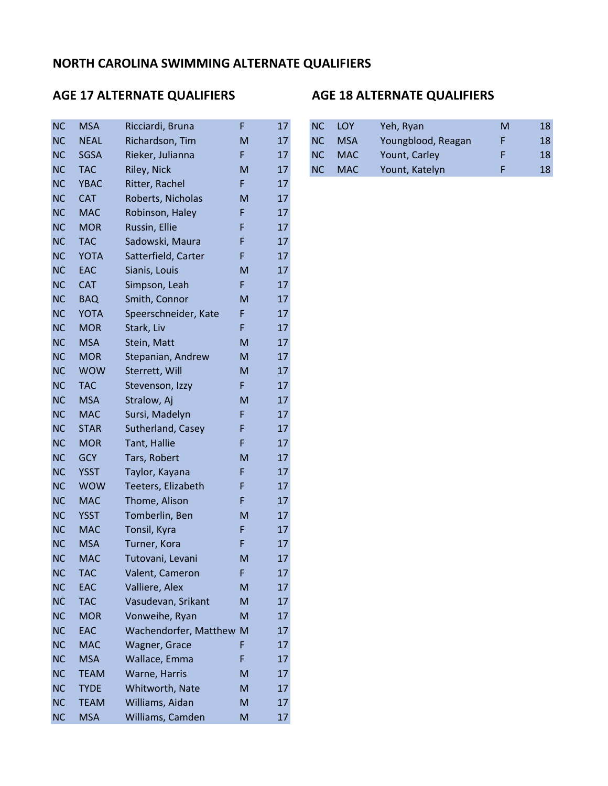### AGE 17 ALTERNATE QUALIFIERS AGE 18 ALTERNATE QUALIFIERS

## NC MSA Ricciardi, Bruna F 17 NC NEAL Richardson, Tim M 17 NC SGSA Rieker, Julianna F 17 NC YBAC Ritter, Rachel F 17 NC CAT Roberts, Nicholas M 17 NC MAC Robinson, Haley F 17 NC MOR Russin, Ellie F 17 NC TAC Sadowski, Maura F 17 NC YOTA Satterfield, Carter F 17 NC EAC Sianis, Louis M 17 NC CAT Simpson, Leah F 17 NC BAQ Smith, Connor M 17 NC YOTA Speerschneider, Kate F 17 NC MOR Stark, Liv F 17 NC MSA Stein, Matt M M 17 NC MOR Stepanian, Andrew M 17 NC WOW Sterrett, Will M 17 NC TAC Stevenson, Izzy F 17 NC MSA Stralow, Aj M 17 NC MAC Sursi, Madelyn F 17 NC STAR Sutherland, Casey F 17 NC MOR Tant, Hallie F 17 NC GCY Tars, Robert M 17 NC YSST Taylor, Kayana F 17 NC WOW Teeters, Elizabeth F 17 NC MAC Thome, Alison F 17 NC YSST Tomberlin, Ben M 17 NC MAC Tonsil, Kyra F 17 NC MSA Turner, Kora F 17 NC MAC Tutovani, Levani M 17 NC TAC Valent, Cameron F 17 NC EAC Valliere, Alex M 17 NC TAC Vasudevan, Srikant M 17 NC MOR Vonweihe, Ryan M 17 NC EAC Wachendorfer, Matthew M 17 NC MAC Wagner, Grace F 17 NC MSA Wallace, Emma F 17 NC TEAM Warne, Harris M 17 NC TYDE Whitworth, Nate M 17 NC TEAM Williams, Aidan M 17 NC MSA Williams, Camden M 17

| <b>NC</b> | <b>MSA</b>  | Ricciardi, Bruna |   | 17 | NC.       | <b>LOY</b> | Yeh, Ryan          | M | 18 |
|-----------|-------------|------------------|---|----|-----------|------------|--------------------|---|----|
|           |             |                  |   |    |           |            |                    |   |    |
| NC.       | <b>NEAL</b> | Richardson, Tim  | M | 17 | NC        | <b>MSA</b> | Youngblood, Reagan |   | 18 |
| NC        | SGSA        | Rieker, Julianna |   | 17 | NC.       | <b>MAC</b> | Yount, Carley      |   | 18 |
| NC.       | <b>TAC</b>  | Riley, Nick      | M | 17 | <b>NC</b> | <b>MAC</b> | Yount, Katelyn     |   | 18 |